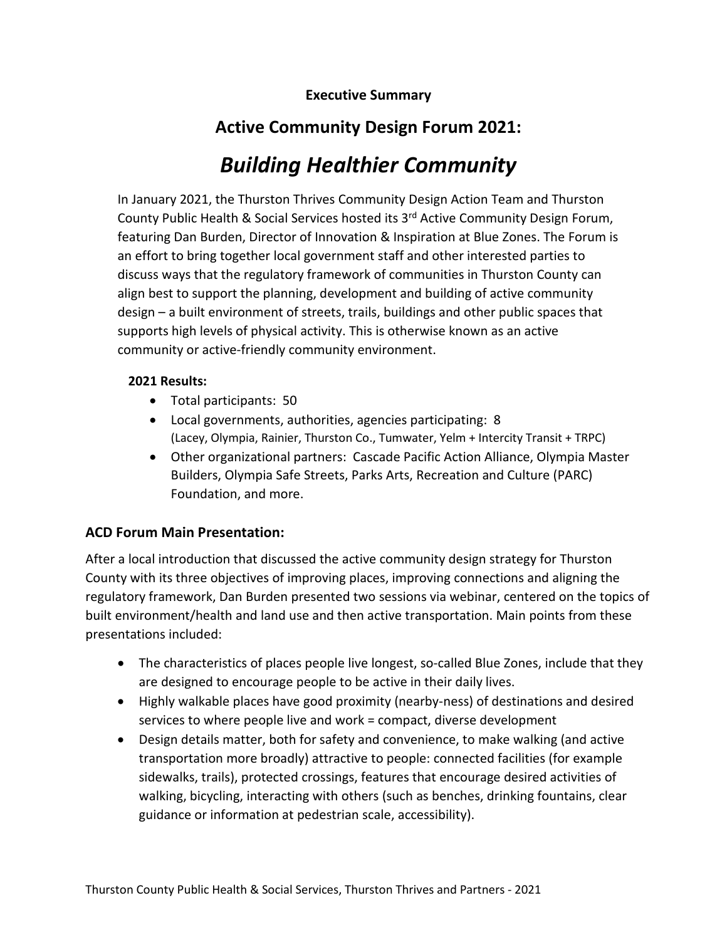**Executive Summary**

## **Active Community Design Forum 2021:**

# *Building Healthier Community*

In January 2021, the Thurston Thrives Community Design Action Team and Thurston County Public Health & Social Services hosted its 3rd Active Community Design Forum, featuring Dan Burden, Director of Innovation & Inspiration at Blue Zones. The Forum is an effort to bring together local government staff and other interested parties to discuss ways that the regulatory framework of communities in Thurston County can align best to support the planning, development and building of active community design – a built environment of streets, trails, buildings and other public spaces that supports high levels of physical activity. This is otherwise known as an active community or active-friendly community environment.

## **2021 Results:**

- Total participants: 50
- Local governments, authorities, agencies participating: 8 (Lacey, Olympia, Rainier, Thurston Co., Tumwater, Yelm + Intercity Transit + TRPC)
- Other organizational partners: Cascade Pacific Action Alliance, Olympia Master Builders, Olympia Safe Streets, Parks Arts, Recreation and Culture (PARC) Foundation, and more.

## **ACD Forum Main Presentation:**

After a local introduction that discussed the active community design strategy for Thurston County with its three objectives of improving places, improving connections and aligning the regulatory framework, Dan Burden presented two sessions via webinar, centered on the topics of built environment/health and land use and then active transportation. Main points from these presentations included:

- The characteristics of places people live longest, so-called Blue Zones, include that they are designed to encourage people to be active in their daily lives.
- Highly walkable places have good proximity (nearby-ness) of destinations and desired services to where people live and work = compact, diverse development
- Design details matter, both for safety and convenience, to make walking (and active transportation more broadly) attractive to people: connected facilities (for example sidewalks, trails), protected crossings, features that encourage desired activities of walking, bicycling, interacting with others (such as benches, drinking fountains, clear guidance or information at pedestrian scale, accessibility).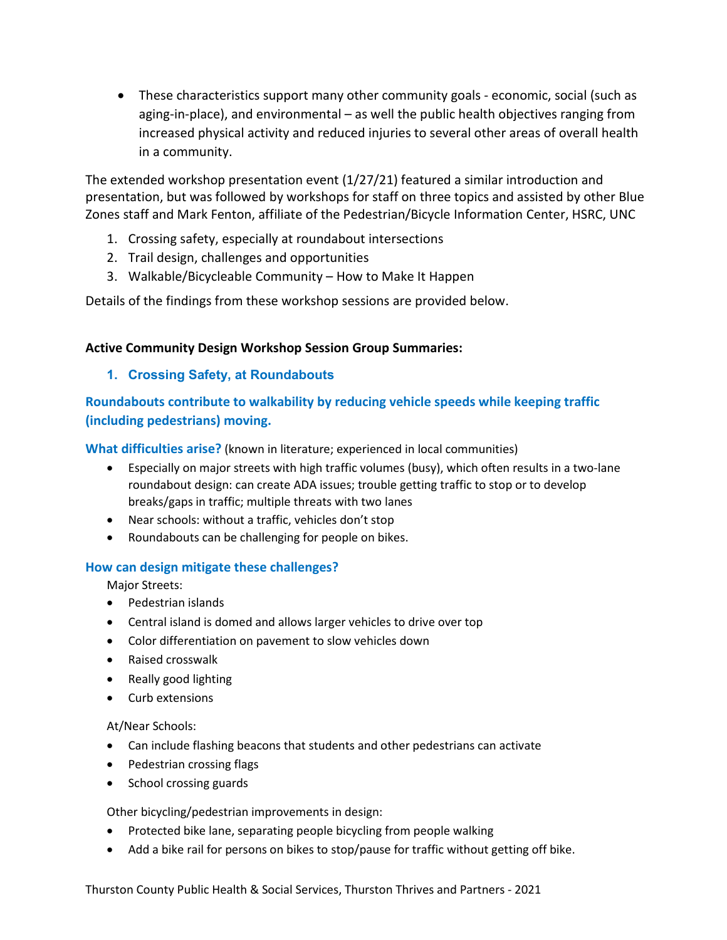• These characteristics support many other community goals - economic, social (such as aging-in-place), and environmental – as well the public health objectives ranging from increased physical activity and reduced injuries to several other areas of overall health in a community.

The extended workshop presentation event (1/27/21) featured a similar introduction and presentation, but was followed by workshops for staff on three topics and assisted by other Blue Zones staff and Mark Fenton, affiliate of the Pedestrian/Bicycle Information Center, HSRC, UNC

- 1. Crossing safety, especially at roundabout intersections
- 2. Trail design, challenges and opportunities
- 3. Walkable/Bicycleable Community How to Make It Happen

Details of the findings from these workshop sessions are provided below.

#### **Active Community Design Workshop Session Group Summaries:**

#### **1. Crossing Safety, at Roundabouts**

**Roundabouts contribute to walkability by reducing vehicle speeds while keeping traffic (including pedestrians) moving.** 

**What difficulties arise?** (known in literature; experienced in local communities)

- Especially on major streets with high traffic volumes (busy), which often results in a two-lane roundabout design: can create ADA issues; trouble getting traffic to stop or to develop breaks/gaps in traffic; multiple threats with two lanes
- Near schools: without a traffic, vehicles don't stop
- Roundabouts can be challenging for people on bikes.

#### **How can design mitigate these challenges?**

Major Streets:

- Pedestrian islands
- Central island is domed and allows larger vehicles to drive over top
- Color differentiation on pavement to slow vehicles down
- Raised crosswalk
- Really good lighting
- Curb extensions

At/Near Schools:

- Can include flashing beacons that students and other pedestrians can activate
- Pedestrian crossing flags
- School crossing guards

Other bicycling/pedestrian improvements in design:

- Protected bike lane, separating people bicycling from people walking
- Add a bike rail for persons on bikes to stop/pause for traffic without getting off bike.

Thurston County Public Health & Social Services, Thurston Thrives and Partners - 2021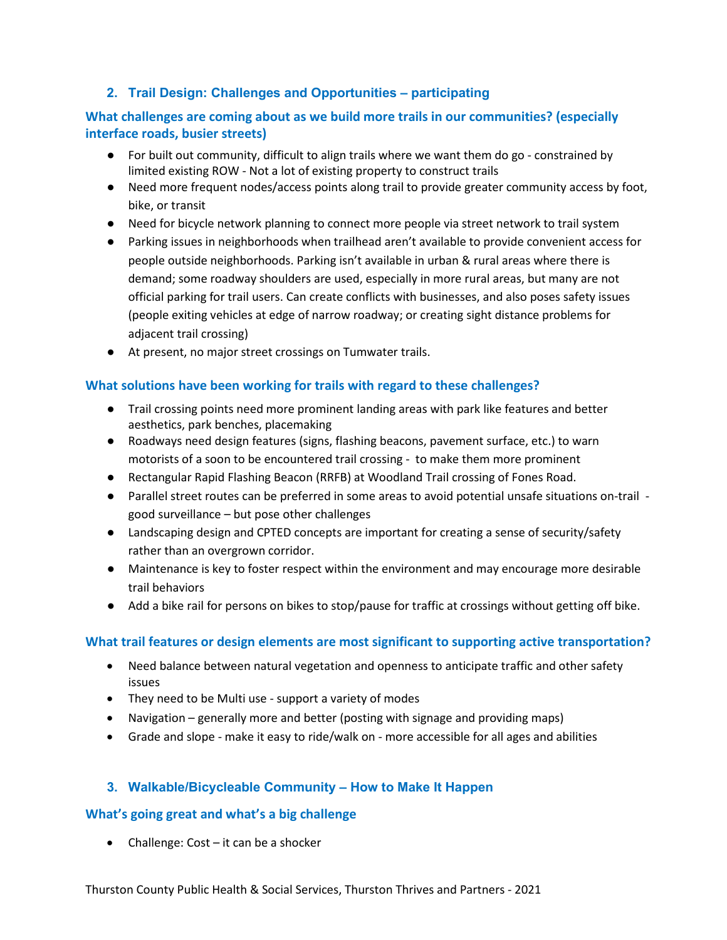## **2. Trail Design: Challenges and Opportunities – participating**

## **What challenges are coming about as we build more trails in our communities? (especially interface roads, busier streets)**

- For built out community, difficult to align trails where we want them do go constrained by limited existing ROW - Not a lot of existing property to construct trails
- Need more frequent nodes/access points along trail to provide greater community access by foot, bike, or transit
- Need for bicycle network planning to connect more people via street network to trail system
- Parking issues in neighborhoods when trailhead aren't available to provide convenient access for people outside neighborhoods. Parking isn't available in urban & rural areas where there is demand; some roadway shoulders are used, especially in more rural areas, but many are not official parking for trail users. Can create conflicts with businesses, and also poses safety issues (people exiting vehicles at edge of narrow roadway; or creating sight distance problems for adjacent trail crossing)
- At present, no major street crossings on Tumwater trails.

## **What solutions have been working for trails with regard to these challenges?**

- Trail crossing points need more prominent landing areas with park like features and better aesthetics, park benches, placemaking
- Roadways need design features (signs, flashing beacons, pavement surface, etc.) to warn motorists of a soon to be encountered trail crossing - to make them more prominent
- Rectangular Rapid Flashing Beacon (RRFB) at Woodland Trail crossing of Fones Road.
- Parallel street routes can be preferred in some areas to avoid potential unsafe situations on-trail good surveillance – but pose other challenges
- Landscaping design and CPTED concepts are important for creating a sense of security/safety rather than an overgrown corridor.
- Maintenance is key to foster respect within the environment and may encourage more desirable trail behaviors
- Add a bike rail for persons on bikes to stop/pause for traffic at crossings without getting off bike.

## **What trail features or design elements are most significant to supporting active transportation?**

- Need balance between natural vegetation and openness to anticipate traffic and other safety issues
- They need to be Multi use support a variety of modes
- Navigation generally more and better (posting with signage and providing maps)
- Grade and slope make it easy to ride/walk on more accessible for all ages and abilities

## **3. Walkable/Bicycleable Community – How to Make It Happen**

## **What's going great and what's a big challenge**

• Challenge: Cost – it can be a shocker